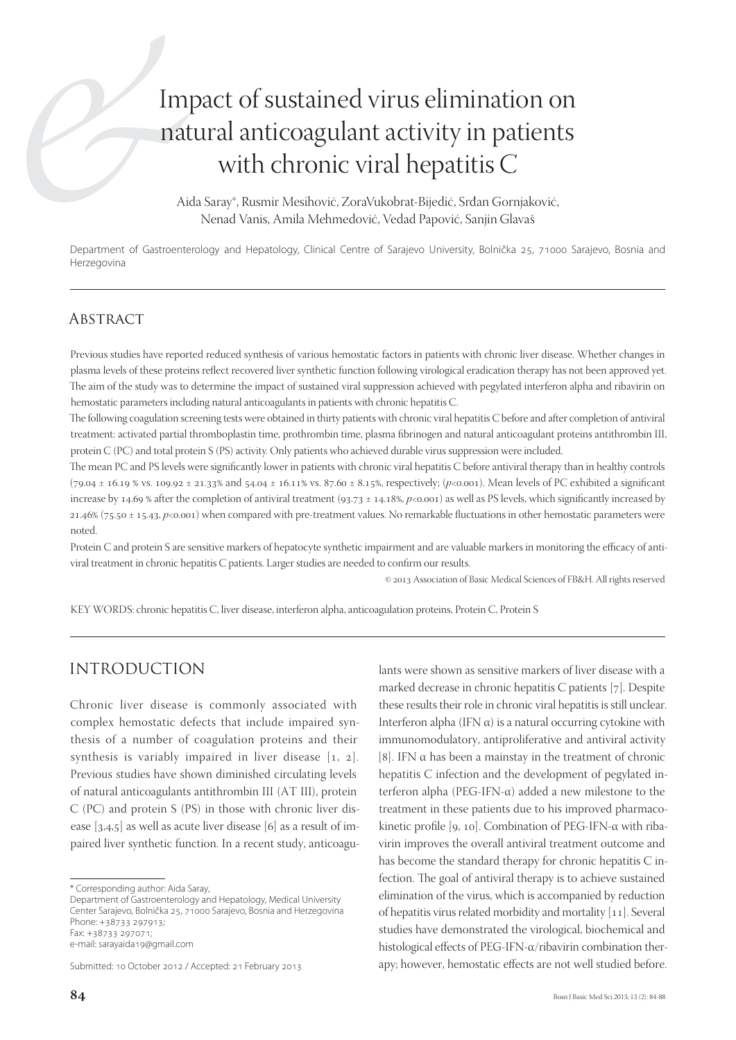# Impact of sustained virus elimination on natural anticoagulant activity in patients with chronic viral hepatitis C

Aida Saray\*, Rusmir Mesihović, ZoraVukobrat-Bijedić, Srđan Gornjaković, Nenad Vanis, Amila Mehmedović, Vedad Papović, Sanjin Glavaš

Department of Gastroenterology and Hepatology, Clinical Centre of Sarajevo University, Bolnička 25, 71000 Sarajevo, Bosnia and Herzegovina

## **ABSTRACT**

Previous studies have reported reduced synthesis of various hemostatic factors in patients with chronic liver disease. Whether changes in plasma levels of these proteins reflect recovered liver synthetic function following virological eradication therapy has not been approved yet. The aim of the study was to determine the impact of sustained viral suppression achieved with pegylated interferon alpha and ribavirin on hemostatic parameters including natural anticoagulants in patients with chronic hepatitis C.

The following coagulation screening tests were obtained in thirty patients with chronic viral hepatitis C before and after completion of antiviral treatment: activated partial thromboplastin time, prothrombin time, plasma fibrinogen and natural anticoagulant proteins antithrombin III, protein C (PC) and total protein S (PS) activity. Only patients who achieved durable virus suppression were included.

The mean PC and PS levels were significantly lower in patients with chronic viral hepatitis C before antiviral therapy than in healthy controls  $(79.04 \pm 16.19 \times \text{vs. } 109.92 \pm 21.33 \times \text{and } 54.04 \pm 16.11 \times \text{vs. } 87.60 \pm 8.15 \times \text{respectively}; (\textit{p} < 0.001)$ . Mean levels of PC exhibited a significant increase by 14.69 % after the completion of antiviral treatment (93.73  $\pm$  14.18%, p<0.001) as well as PS levels, which significantly increased by 21.46% (75.50 ± 15.43, *p*<0.001) when compared with pre-treatment values. No remarkable fluctuations in other hemostatic parameters were noted.

Protein C and protein S are sensitive markers of hepatocyte synthetic impairment and are valuable markers in monitoring the efficacy of antiviral treatment in chronic hepatitis C patients. Larger studies are needed to confirm our results.

© 2013 Association of Basic Medical Sciences of FB&H. All rights reserved

KEY WORDS: chronic hepatitis C, liver disease, interferon alpha, anticoagulation proteins, Protein C, Protein S

## INTRODUCTION

Chronic liver disease is commonly associated with complex hemostatic defects that include impaired synthesis of a number of coagulation proteins and their synthesis is variably impaired in liver disease  $[1, 2]$ . Previous studies have shown diminished circulating levels of natural anticoagulants antithrombin III (AT III), protein C (PC) and protein S (PS) in those with chronic liver disease  $[3,4,5]$  as well as acute liver disease  $[6]$  as a result of impaired liver synthetic function. In a recent study, anticoagu-

Department of Gastroenterology and Hepatology, Medical University Center Sarajevo, Bolnička 25, 71000 Sarajevo, Bosnia and Herzegovina Phone: +38733 297913; Fax: +38733 297071;

e-mail: sarayaida19@gmail.com

Submitted: 10 October 2012 / Accepted: 21 February 2013

lants were shown as sensitive markers of liver disease with a marked decrease in chronic hepatitis  $C$  patients [7]. Despite these results their role in chronic viral hepatitis is still unclear. Interferon alpha (IFN α) is a natural occurring cytokine with immunomodulatory, antiproliferative and antiviral activity [8]. IFN  $\alpha$  has been a mainstay in the treatment of chronic hepatitis C infection and the development of pegylated interferon alpha (PEG-IFN-α) added a new milestone to the treatment in these patients due to his improved pharmacokinetic profile  $[q, 10]$ . Combination of PEG-IFN- $\alpha$  with ribavirin improves the overall antiviral treatment outcome and has become the standard therapy for chronic hepatitis C infection. The goal of antiviral therapy is to achieve sustained elimination of the virus, which is accompanied by reduction of hepatitis virus related morbidity and mortality  $[11]$ . Several studies have demonstrated the virological, biochemical and histological effects of PEG-IFN-α/ribavirin combination therapy; however, hemostatic effects are not well studied before.

<sup>\*</sup> Corresponding author: Aida Saray,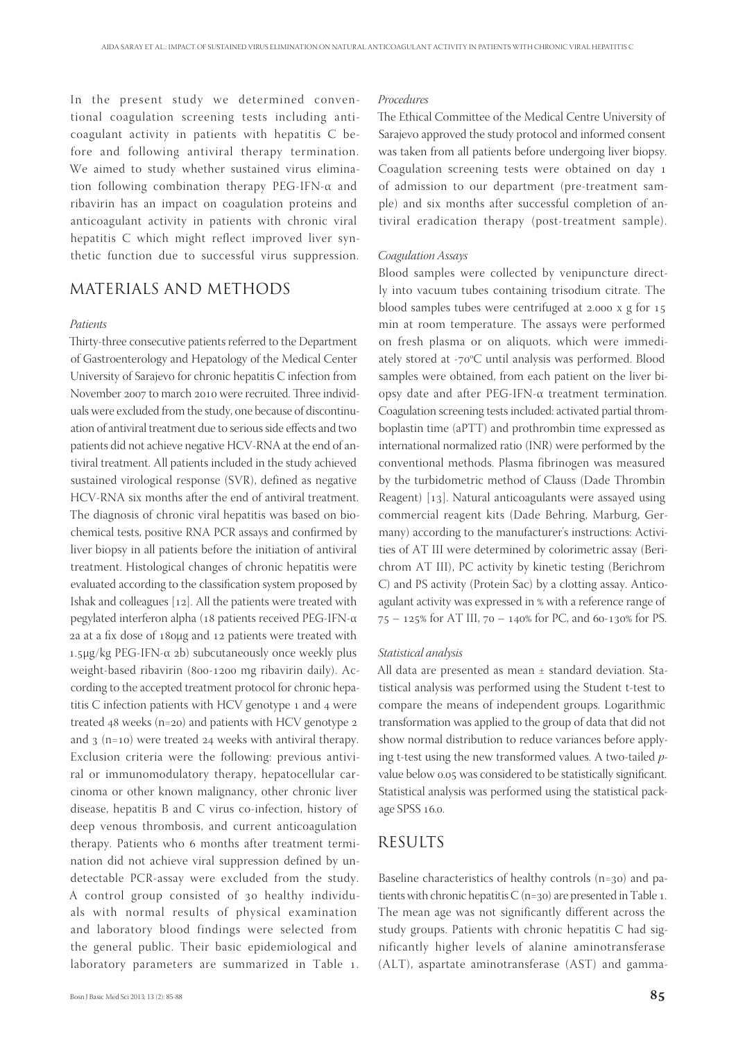In the present study we determined conventional coagulation screening tests including anticoagulant activity in patients with hepatitis C before and following antiviral therapy termination. We aimed to study whether sustained virus elimination following combination therapy PEG-IFN-α and ribavirin has an impact on coagulation proteins and anticoagulant activity in patients with chronic viral hepatitis C which might reflect improved liver synthetic function due to successful virus suppression.

## MATERIALS AND METHODS

#### *Patients*

Thirty-three consecutive patients referred to the Department of Gastroenterology and Hepatology of the Medical Center University of Sarajevo for chronic hepatitis C infection from November 2007 to march 2010 were recruited. Three individuals were excluded from the study, one because of discontinuation of antiviral treatment due to serious side effects and two patients did not achieve negative HCV-RNA at the end of antiviral treatment. All patients included in the study achieved sustained virological response (SVR), defined as negative HCV-RNA six months after the end of antiviral treatment. The diagnosis of chronic viral hepatitis was based on biochemical tests, positive RNA PCR assays and confirmed by liver biopsy in all patients before the initiation of antiviral treatment. Histological changes of chronic hepatitis were evaluated according to the classification system proposed by Ishak and colleagues  $[12]$ . All the patients were treated with pegylated interferon alpha (18 patients received PEG-IFN-α 2a at a fix dose of 18ομg and 12 patients were treated with  $1.5\mu$ g/kg PEG-IFN-α 2b) subcutaneously once weekly plus weight-based ribavirin (800-1200 mg ribavirin daily). According to the accepted treatment protocol for chronic hepatitis  $C$  infection patients with HCV genotype  $1$  and  $4$  were treated  $48$  weeks (n=20) and patients with HCV genotype 2 and  $3$  (n=10) were treated 24 weeks with antiviral therapy. Exclusion criteria were the following: previous antiviral or immunomodulatory therapy, hepatocellular carcinoma or other known malignancy, other chronic liver disease, hepatitis B and C virus co-infection, history of deep venous thrombosis, and current anticoagulation therapy. Patients who 6 months after treatment termination did not achieve viral suppression defined by undetectable PCR-assay were excluded from the study. A control group consisted of 30 healthy individuals with normal results of physical examination and laboratory blood findings were selected from the general public. Their basic epidemiological and laboratory parameters are summarized in Table 1.

#### *Procedures*

The Ethical Committee of the Medical Centre University of Sarajevo approved the study protocol and informed consent was taken from all patients before undergoing liver biopsy. Coagulation screening tests were obtained on day of admission to our department (pre-treatment sample) and six months after successful completion of antiviral eradication therapy (post-treatment sample).

#### *Coagulation Assays*

Blood samples were collected by venipuncture directly into vacuum tubes containing trisodium citrate. The blood samples tubes were centrifuged at  $2.000 \times g$  for  $15$ min at room temperature. The assays were performed on fresh plasma or on aliquots, which were immediately stored at -70°C until analysis was performed. Blood samples were obtained, from each patient on the liver biopsy date and after PEG-IFN-α treatment termination. Coagulation screening tests included: activated partial thromboplastin time (aPTT) and prothrombin time expressed as international normalized ratio (INR) were performed by the conventional methods. Plasma fibrinogen was measured by the turbidometric method of Clauss (Dade Thrombin Reagent)  $[13]$ . Natural anticoagulants were assayed using commercial reagent kits (Dade Behring, Marburg, Germany) according to the manufacturer's instructions: Activities of AT III were determined by colorimetric assay (Berichrom AT III), PC activity by kinetic testing (Berichrom C) and PS activity (Protein Sac) by a clotting assay. Anticoagulant activity was expressed in % with a reference range of  $75 - 125\%$  for AT III,  $70 - 140\%$  for PC, and 60-130% for PS.

#### *Statistical analysis*

All data are presented as mean ± standard deviation. Statistical analysis was performed using the Student t-test to compare the means of independent groups. Logarithmic transformation was applied to the group of data that did not show normal distribution to reduce variances before applying t-test using the new transformed values. A two-tailed *p*value below 0.05 was considered to be statistically significant. Statistical analysis was performed using the statistical package SPSS 16.0.

### RESULTS

Baseline characteristics of healthy controls  $(n=30)$  and patients with chronic hepatitis  $C$  (n=30) are presented in Table 1. The mean age was not significantly different across the study groups. Patients with chronic hepatitis C had significantly higher levels of alanine aminotransferase (ALT), aspartate aminotransferase (AST) and gamma-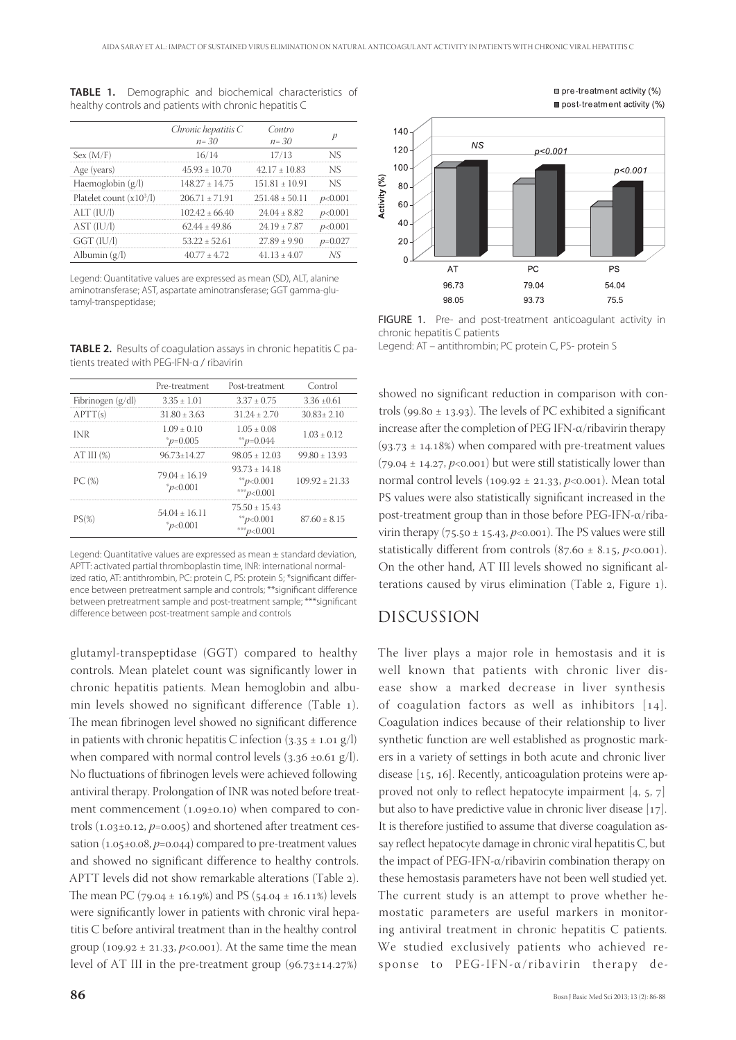|                            | Chronic hepatitis C                   | 'outro             |  |
|----------------------------|---------------------------------------|--------------------|--|
|                            | $n = 30$                              | $n = .30$          |  |
| Sex (M/F)                  |                                       |                    |  |
| Age (years)                | $45.93 + 10.70$                       | $42.17 + 10.83$    |  |
| Haemoglobin $(g/l)$        | $148.27 \pm 14.75$ $151.81 \pm 10.91$ |                    |  |
| Platelet count $(x10^3/l)$ | 206 71 + 71 91                        | $251.48 \pm 50.11$ |  |
|                            | 102.42 + 66.40                        |                    |  |
|                            | 62 44 + 49 86                         | 24 19 + 7 87       |  |
|                            | $53.22 + 52.61$                       | $27.89 + 9.90$     |  |
| Albumin (g/                | 40.77 + 4.72                          | $41.13 + 4.07$     |  |
|                            |                                       |                    |  |

**TABLE 1.** Demographic and biochemical characteristics of healthy controls and patients with chronic hepatitis C

Legend: Quantitative values are expressed as mean (SD), ALT, alanine aminotransferase; AST, aspartate aminotransferase; GGT gamma-glutamyl-transpeptidase;

**TABLE 2.** Results of coagulation assays in chronic hepatitis C patients treated with PEG-IFN-α / ribavirin

|                   | Pre-treatment                           | Post-treatment                                   | Control            |
|-------------------|-----------------------------------------|--------------------------------------------------|--------------------|
| Fibrinogen (g/dl) | $3.35 + 1.01$                           | $3.37 + 0.75$                                    | $3.36 + 0.61$      |
| APTT(s)           | $31.80 \pm 3.63$                        | $31.24 + 2.70$                                   | $30.83 + 2.10$     |
| INR               | $1.09 + 0.10$<br>$p=0.005$              | $1.05 + 0.08$<br>**p=0.044                       | $1.03 + 0.12$      |
| AT III (%)        | 96.73+14.27                             | $98.05 + 12.03$                                  | 99 80 + 13 93      |
| PC(%)             | $79.04 + 16.19$<br>p<0.001              | $93.73 + 14.18$<br>** $p<0.001$<br>*** $p<0.001$ | $109.92 \pm 21.33$ |
| $PS(\% )$         | $54.04 + 16.11$<br>$\frac{1}{2}p<0.001$ | $75.50 + 15.43$<br>** $p<0.001$<br>*** $p<0.001$ | $87.60 \pm 8.15$   |

Legend: Quantitative values are expressed as mean ± standard deviation, APTT: activated partial thromboplastin time, INR: international normalized ratio, AT: antithrombin, PC: protein C, PS: protein S; \*significant difference between pretreatment sample and controls: \*\*significant difference between pretreatment sample and post-treatment sample; \*\*\* significant difference between post-treatment sample and controls

glutamyl-transpeptidase (GGT) compared to healthy controls. Mean platelet count was significantly lower in chronic hepatitis patients. Mean hemoglobin and albumin levels showed no significant difference (Table ). The mean fibrinogen level showed no significant difference in patients with chronic hepatitis C infection  $(3.35 \pm 1.01 \text{ g/l})$ when compared with normal control levels  $(3.36 \pm 0.61 \text{ g/l})$ . No fluctuations of fibrinogen levels were achieved following antiviral therapy. Prolongation of INR was noted before treatment commencement  $(1.09\pm0.10)$  when compared to controls  $(1.03\pm0.12, p=0.005)$  and shortened after treatment cessation  $(1.05\pm0.08, p=0.044)$  compared to pre-treatment values and showed no significant difference to healthy controls. APTT levels did not show remarkable alterations (Table ). The mean PC (79.04  $\pm$  16.19%) and PS (54.04  $\pm$  16.11%) levels were significantly lower in patients with chronic viral hepatitis C before antiviral treatment than in the healthy control group ( $109.92 \pm 21.33$ ,  $p<0.001$ ). At the same time the mean level of AT III in the pre-treatment group  $(96.73 \pm 14.27%)$ 



□ pre-treatment activity (%) post-treatment activity (%)

FIGURE 1. Pre- and post-treatment anticoagulant activity in chronic hepatitis C patients

Legend: AT – antithrombin; PC protein C, PS- protein S

showed no significant reduction in comparison with controls (99.80  $\pm$  13.93). The levels of PC exhibited a significant increase after the completion of PEG IFN- $\alpha$ /ribavirin therapy  $(93.73 \pm 14.18%)$  when compared with pre-treatment values  $(79.04 \pm 14.27, p<0.001)$  but were still statistically lower than normal control levels  $(109.92 \pm 21.33, p < 0.001)$ . Mean total PS values were also statistically significant increased in the post-treatment group than in those before PEG-IFN-α/ribavirin therapy ( $75.50 \pm 15.43$ ,  $p<0.001$ ). The PS values were still statistically different from controls  $(87.60 \pm 8.15, p<0.001)$ . On the other hand, AT III levels showed no significant alterations caused by virus elimination (Table 2, Figure 1).

## DISCUSSION

The liver plays a major role in hemostasis and it is well known that patients with chronic liver disease show a marked decrease in liver synthesis of coagulation factors as well as inhibitors  $[14]$ . Coagulation indices because of their relationship to liver synthetic function are well established as prognostic markers in a variety of settings in both acute and chronic liver disease  $[15, 16]$ . Recently, anticoagulation proteins were approved not only to reflect hepatocyte impairment  $[4, 5, 7]$ but also to have predictive value in chronic liver disease  $[17]$ . It is therefore justified to assume that diverse coagulation assay reflect hepatocyte damage in chronic viral hepatitis C, but the impact of PEG-IFN-α/ribavirin combination therapy on these hemostasis parameters have not been well studied yet. The current study is an attempt to prove whether hemostatic parameters are useful markers in monitoring antiviral treatment in chronic hepatitis C patients. We studied exclusively patients who achieved response to PEG-IFN-α/ribavirin therapy de-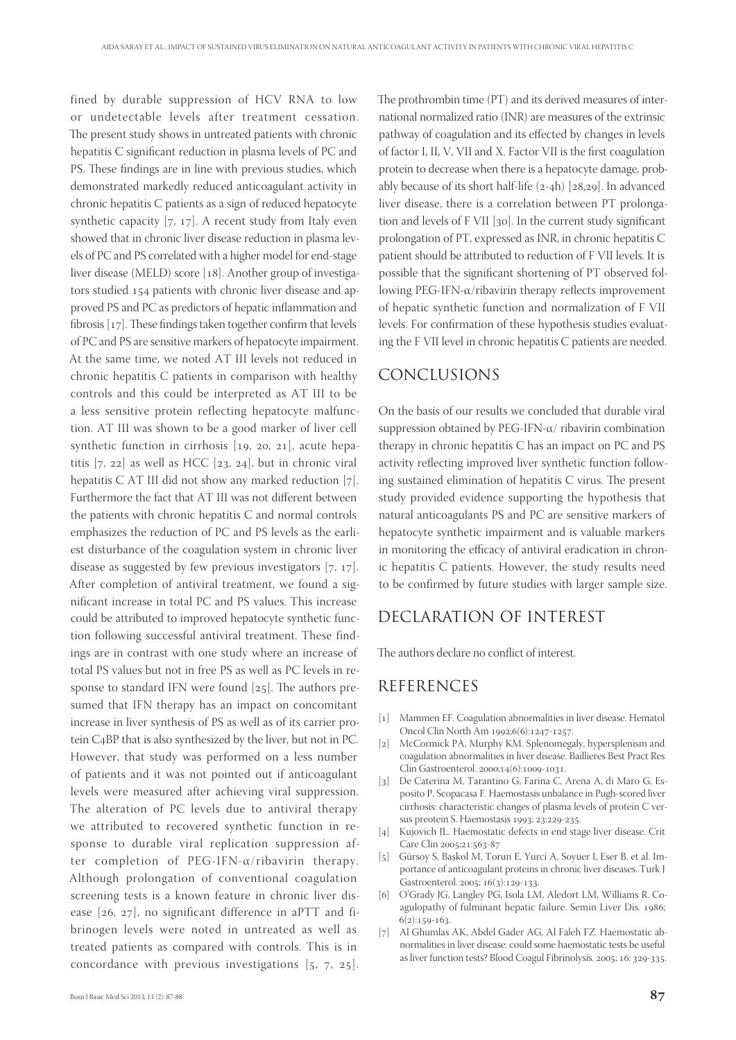fined by durable suppression of HCV RNA to low or undetectable levels after treatment cessation. The present study shows in untreated patients with chronic hepatitis C significant reduction in plasma levels of PC and PS. These findings are in line with previous studies, which demonstrated markedly reduced anticoagulant activity in chronic hepatitis C patients as a sign of reduced hepatocyte synthetic capacity  $[7, 17]$ . A recent study from Italy even showed that in chronic liver disease reduction in plasma levels of PC and PS correlated with a higher model for end-stage liver disease (MELD) score  $[18]$ . Another group of investigators studied 154 patients with chronic liver disease and approved PS and PC as predictors of hepatic inflammation and fibrosis  $[17]$ . These findings taken together confirm that levels of PC and PS are sensitive markers of hepatocyte impairment. At the same time, we noted AT III levels not reduced in chronic hepatitis C patients in comparison with healthy controls and this could be interpreted as AT III to be a less sensitive protein reflecting hepatocyte malfunction. AT III was shown to be a good marker of liver cell synthetic function in cirrhosis  $[19, 20, 21]$ , acute hepatitis  $[7, 22]$  as well as HCC  $[23, 24]$ , but in chronic viral hepatitis C AT III did not show any marked reduction  $[7]$ . Furthermore the fact that AT III was not different between the patients with chronic hepatitis C and normal controls emphasizes the reduction of PC and PS levels as the earliest disturbance of the coagulation system in chronic liver disease as suggested by few previous investigators  $[7, 17]$ . After completion of antiviral treatment, we found a significant increase in total PC and PS values. This increase could be attributed to improved hepatocyte synthetic function following successful antiviral treatment. These findings are in contrast with one study where an increase of total PS values but not in free PS as well as PC levels in response to standard IFN were found  $[25]$ . The authors presumed that IFN therapy has an impact on concomitant increase in liver synthesis of PS as well as of its carrier protein C<sub>4</sub>BP that is also synthesized by the liver, but not in PC. However, that study was performed on a less number of patients and it was not pointed out if anticoagulant levels were measured after achieving viral suppression. The alteration of PC levels due to antiviral therapy we attributed to recovered synthetic function in response to durable viral replication suppression after completion of PEG-IFN-α/ribavirin therapy. Although prolongation of conventional coagulation screening tests is a known feature in chronic liver disease  $[26, 27]$ , no significant difference in aPTT and fibrinogen levels were noted in untreated as well as treated patients as compared with controls. This is in concordance with previous investigations  $[5, 7, 25]$ .

The prothrombin time (PT) and its derived measures of international normalized ratio (INR) are measures of the extrinsic pathway of coagulation and its effected by changes in levels of factor I, II, V, VII and X. Factor VII is the first coagulation protein to decrease when there is a hepatocyte damage, probably because of its short half-life  $(2-4h)$  [ $28,29$ ]. In advanced liver disease, there is a correlation between PT prolongation and levels of  $F$  VII [30]. In the current study significant prolongation of PT, expressed as INR, in chronic hepatitis C patient should be attributed to reduction of F VII levels. It is possible that the significant shortening of PT observed following PEG-IFN- $\alpha$ /ribavirin therapy reflects improvement of hepatic synthetic function and normalization of F VII levels. For confirmation of these hypothesis studies evaluating the F VII level in chronic hepatitis C patients are needed.

## CONCLUSIONS

On the basis of our results we concluded that durable viral suppression obtained by PEG-IFN-α/ ribavirin combination therapy in chronic hepatitis C has an impact on PC and PS activity reflecting improved liver synthetic function following sustained elimination of hepatitis  $C$  virus. The present study provided evidence supporting the hypothesis that natural anticoagulants PS and PC are sensitive markers of hepatocyte synthetic impairment and is valuable markers in monitoring the efficacy of antiviral eradication in chronic hepatitis C patients. However, the study results need to be confirmed by future studies with larger sample size.

# DECLARATION OF INTEREST

The authors declare no conflict of interest.

## REFERENCES

- [1] Mammen EF. Coagulation abnormalities in liver disease. Hematol Oncol Clin North Am 1992;6(6):1247-1257.
- [2] McCormick PA, Murphy KM. Splenomegaly, hypersplenism and coagulation abnormalities in liver disease. Baillieres Best Pract Res Clin Gastroenterol. 2000;14(6):1009-1031.
- [3] De Caterina M, Tarantino G, Farina C, Arena A, di Maro G, Esposito P, Scopacasa F. Haemostasis unbalance in Pugh-scored liver cirrhosis: characteristic changes of plasma levels of protein C versus preotein S. Haemostasis 1993; 23:229-235.
- [4] Kujovich JL. Haemostatic defects in end stage liver disease. Crit Care Clin 2005;21:563-87
- [] Gürsoy S, Başkol M, Torun E, Yurci A, Soyuer I, Eser B. et al. Importance of anticoagulant proteins in chronic liver diseases. Turk J Gastroenterol. 2005; 16(3):129-133.
- [6] O'Grady JG, Langley PG, Isola LM, Aledort LM, Williams R. Coagulopathy of fulminant hepatic failure. Semin Liver Dis. 1986;  $6(2):159-163.$
- [7] Al Ghumlas AK, Abdel Gader AG, Al Faleh FZ. Haemostatic abnormalities in liver disease: could some haemostatic tests be useful as liver function tests? Blood Coagul Fibrinolysis. 2005; 16: 329-335.